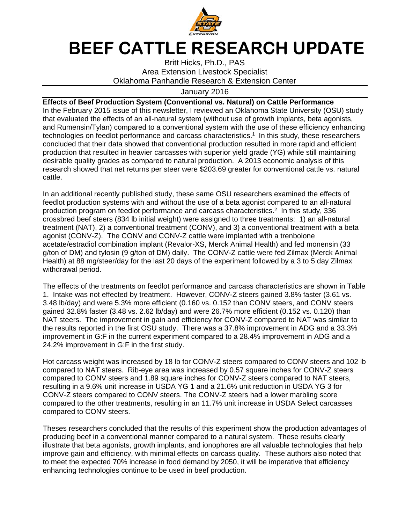

## **BEEF CATTLE RESEARCH UPDATE**

Britt Hicks, Ph.D., PAS Area Extension Livestock Specialist Oklahoma Panhandle Research & Extension Center

## January 2016

**Effects of Beef Production System (Conventional vs. Natural) on Cattle Performance**  In the February 2015 issue of this newsletter, I reviewed an Oklahoma State University (OSU) study that evaluated the effects of an all-natural system (without use of growth implants, beta agonists, and Rumensin/Tylan) compared to a conventional system with the use of these efficiency enhancing technologies on feedlot performance and carcass characteristics.<sup>1</sup> In this study, these researchers concluded that their data showed that conventional production resulted in more rapid and efficient production that resulted in heavier carcasses with superior yield grade (YG) while still maintaining desirable quality grades as compared to natural production. A 2013 economic analysis of this research showed that net returns per steer were \$203.69 greater for conventional cattle vs. natural cattle.

In an additional recently published study, these same OSU researchers examined the effects of feedlot production systems with and without the use of a beta agonist compared to an all-natural production program on feedlot performance and carcass characteristics.2 In this study, 336 crossbred beef steers (834 lb initial weight) were assigned to three treatments: 1) an all-natural treatment (NAT), 2) a conventional treatment (CONV), and 3) a conventional treatment with a beta agonist (CONV-Z). The CONV and CONV-Z cattle were implanted with a trenbolone acetate/estradiol combination implant (Revalor-XS, Merck Animal Health) and fed monensin (33 g/ton of DM) and tylosin (9 g/ton of DM) daily. The CONV-Z cattle were fed Zilmax (Merck Animal Health) at 88 mg/steer/day for the last 20 days of the experiment followed by a 3 to 5 day Zilmax withdrawal period.

The effects of the treatments on feedlot performance and carcass characteristics are shown in Table 1. Intake was not effected by treatment. However, CONV-Z steers gained 3.8% faster (3.61 vs. 3.48 lb/day) and were 5.3% more efficient (0.160 vs. 0.152 than CONV steers, and CONV steers gained 32.8% faster (3.48 vs. 2.62 lb/day) and were 26.7% more efficient (0.152 vs. 0.120) than NAT steers. The improvement in gain and efficiency for CONV-Z compared to NAT was similar to the results reported in the first OSU study. There was a 37.8% improvement in ADG and a 33.3% improvement in G:F in the current experiment compared to a 28.4% improvement in ADG and a 24.2% improvement in G:F in the first study.

Hot carcass weight was increased by 18 lb for CONV-Z steers compared to CONV steers and 102 lb compared to NAT steers. Rib-eye area was increased by 0.57 square inches for CONV-Z steers compared to CONV steers and 1.89 square inches for CONV-Z steers compared to NAT steers, resulting in a 9.6% unit increase in USDA YG 1 and a 21.6% unit reduction in USDA YG 3 for CONV-Z steers compared to CONV steers. The CONV-Z steers had a lower marbling score compared to the other treatments, resulting in an 11.7% unit increase in USDA Select carcasses compared to CONV steers.

Theses researchers concluded that the results of this experiment show the production advantages of producing beef in a conventional manner compared to a natural system. These results clearly illustrate that beta agonists, growth implants, and ionophores are all valuable technologies that help improve gain and efficiency, with minimal effects on carcass quality. These authors also noted that to meet the expected 70% increase in food demand by 2050, it will be imperative that efficiency enhancing technologies continue to be used in beef production.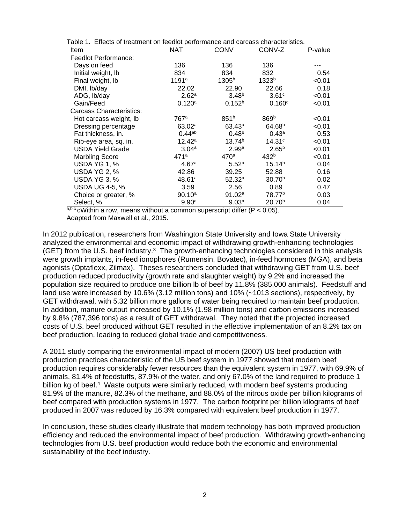| Table 1. Effects of treatment on feedlot performance and carcass characteristics. |                      |                    |                    |         |
|-----------------------------------------------------------------------------------|----------------------|--------------------|--------------------|---------|
| <b>Item</b>                                                                       | <b>NAT</b>           | <b>CONV</b>        | CONV-Z             | P-value |
| Feedlot Performance:                                                              |                      |                    |                    |         |
| Days on feed                                                                      | 136                  | 136                | 136                |         |
| Initial weight, lb                                                                | 834                  | 834                | 832                | 0.54    |
| Final weight, Ib                                                                  | 1191a                | 1305 <sup>b</sup>  | 1323 <sup>b</sup>  | < 0.01  |
| DMI, Ib/day                                                                       | 22.02                | 22.90              | 22.66              | 0.18    |
| ADG, Ib/day                                                                       | 2.62 <sup>a</sup>    | $3.48^{b}$         | 3.61 <sup>c</sup>  | < 0.01  |
| Gain/Feed                                                                         | 0.120 <sup>a</sup>   | 0.152 <sup>b</sup> | $0.160^\circ$      | <0.01   |
| <b>Carcass Characteristics:</b>                                                   |                      |                    |                    |         |
| Hot carcass weight, lb                                                            | 767a                 | 851 <sup>b</sup>   | 869 <sup>b</sup>   | < 0.01  |
| Dressing percentage                                                               | 63.02a               | 63.43a             | 64.68 <sup>b</sup> | < 0.01  |
| Fat thickness, in.                                                                | $0.44$ <sup>ab</sup> | 0.48 <sup>b</sup>  | 0.43a              | 0.53    |
| Rib-eye area, sq. in.                                                             | $12.42^a$            | 13.74 <sup>b</sup> | 14.31 <sup>c</sup> | < 0.01  |
| <b>USDA Yield Grade</b>                                                           | 3.04a                | 2.99a              | $2.65^{b}$         | < 0.01  |
| <b>Marbling Score</b>                                                             | 471a                 | 470a               | 432 <sup>b</sup>   | < 0.01  |
| USDA YG 1, %                                                                      | 4.67a                | 5.52 <sup>a</sup>  | 15.14 <sup>b</sup> | 0.04    |
| <b>USDA YG 2, %</b>                                                               | 42.86                | 39.25              | 52.88              | 0.16    |
| USDA YG 3, %                                                                      | 48.61a               | $52.32^{\circ}$    | 30.70 <sup>b</sup> | 0.02    |
| USDA UG 4-5, %                                                                    | 3.59                 | 2.56               | 0.89               | 0.47    |
| Choice or greater, %                                                              | $90.10^a$            | 91.02a             | 78.77 <sup>b</sup> | 0.03    |
| Select, %                                                                         | 9.90 <sup>a</sup>    | 9.03 <sup>a</sup>  | 20.70 <sup>b</sup> | 0.04    |

 $a,b,c$  cWithin a row, means without a common superscript differ (P < 0.05). Adapted from Maxwell et al., 2015.

In 2012 publication, researchers from Washington State University and Iowa State University analyzed the environmental and economic impact of withdrawing growth-enhancing technologies (GET) from the U.S. beef industry. $3$  The growth-enhancing technologies considered in this analysis were growth implants, in-feed ionophores (Rumensin, Bovatec), in-feed hormones (MGA), and beta agonists (Optaflexx, Zilmax). Theses researchers concluded that withdrawing GET from U.S. beef production reduced productivity (growth rate and slaughter weight) by 9.2% and increased the population size required to produce one billion lb of beef by 11.8% (385,000 animals). Feedstuff and land use were increased by 10.6% (3.12 million tons) and 10% (~1013 sections), respectively, by GET withdrawal, with 5.32 billion more gallons of water being required to maintain beef production. In addition, manure output increased by 10.1% (1.98 million tons) and carbon emissions increased by 9.8% (787,396 tons) as a result of GET withdrawal. They noted that the projected increased costs of U.S. beef produced without GET resulted in the effective implementation of an 8.2% tax on beef production, leading to reduced global trade and competitiveness.

A 2011 study comparing the environmental impact of modern (2007) US beef production with production practices characteristic of the US beef system in 1977 showed that modern beef production requires considerably fewer resources than the equivalent system in 1977, with 69.9% of animals, 81.4% of feedstuffs, 87.9% of the water, and only 67.0% of the land required to produce 1 billion kg of beef.<sup>4</sup> Waste outputs were similarly reduced, with modern beef systems producing 81.9% of the manure, 82.3% of the methane, and 88.0% of the nitrous oxide per billion kilograms of beef compared with production systems in 1977. The carbon footprint per billion kilograms of beef produced in 2007 was reduced by 16.3% compared with equivalent beef production in 1977.

In conclusion, these studies clearly illustrate that modern technology has both improved production efficiency and reduced the environmental impact of beef production. Withdrawing growth-enhancing technologies from U.S. beef production would reduce both the economic and environmental sustainability of the beef industry.